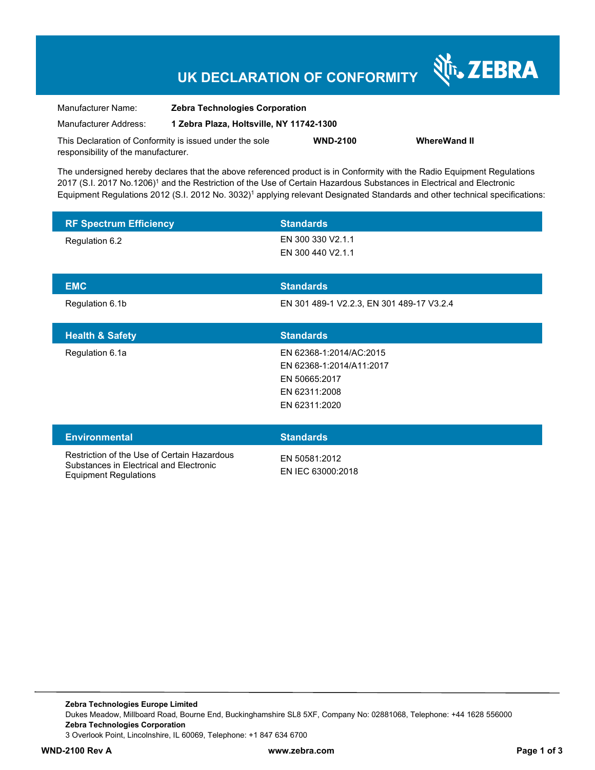# **UK DECLARATION OF CONFORMITY**

Nr. ZEBRA

| Manufacturer Name:                                      | <b>Zebra Technologies Corporation</b>    |                 |                     |
|---------------------------------------------------------|------------------------------------------|-----------------|---------------------|
| Manufacturer Address:                                   | 1 Zebra Plaza, Holtsville, NY 11742-1300 |                 |                     |
| This Declaration of Conformity is issued under the sole |                                          | <b>WND-2100</b> | <b>WhereWand II</b> |
| responsibility of the manufacturer.                     |                                          |                 |                     |

The undersigned hereby declares that the above referenced product is in Conformity with the Radio Equipment Regulations 2017 (S.I. 2017 No.1206)<sup>1</sup> and the Restriction of the Use of Certain Hazardous Substances in Electrical and Electronic Equipment Regulations 2012 (S.I. 2012 No. 3032)<sup>1</sup> applying relevant Designated Standards and other technical specifications:

| <b>RF Spectrum Efficiency</b>                                                                                   | <b>Standards</b>                                                                                       |
|-----------------------------------------------------------------------------------------------------------------|--------------------------------------------------------------------------------------------------------|
| Regulation 6.2                                                                                                  | EN 300 330 V2.1.1<br>EN 300 440 V2.1.1                                                                 |
| <b>EMC</b>                                                                                                      | <b>Standards</b>                                                                                       |
| Regulation 6.1b                                                                                                 | EN 301 489-1 V2.2.3, EN 301 489-17 V3.2.4                                                              |
| <b>Health &amp; Safety</b>                                                                                      | <b>Standards</b>                                                                                       |
| Regulation 6.1a                                                                                                 | EN 62368-1:2014/AC:2015<br>EN 62368-1:2014/A11:2017<br>EN 50665:2017<br>EN 62311:2008<br>EN 62311:2020 |
| <b>Environmental</b>                                                                                            | <b>Standards</b>                                                                                       |
| Restriction of the Use of Certain Hazardous<br>Substances in Electrical and Electronic<br>Equipment Dequiptions | EN 50581:2012<br>EN IEC 63000:2018                                                                     |

Equipment Regulations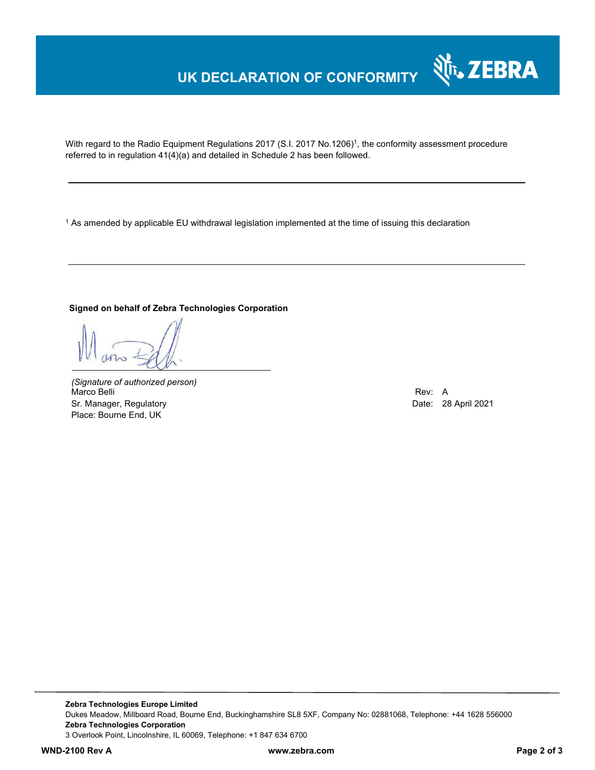### **UK DECLARATION OF CONFORMITY**

With regard to the Radio Equipment Regulations 2017 (S.I. 2017 No.1206)<sup>1</sup>, the conformity assessment procedure referred to in regulation 41(4)(a) and detailed in Schedule 2 has been followed.

1 As amended by applicable EU withdrawal legislation implemented at the time of issuing this declaration

#### **Signed on behalf of Zebra Technologies Corporation**

*(Signature of authorized person)* Marco Belli Rev: A Sr. Manager, Regulatory **Date: 28 April 2021** Control of Control of Control of Control of Control of Control of Co Place: Bourne End, UK

Nr. ZEBRA